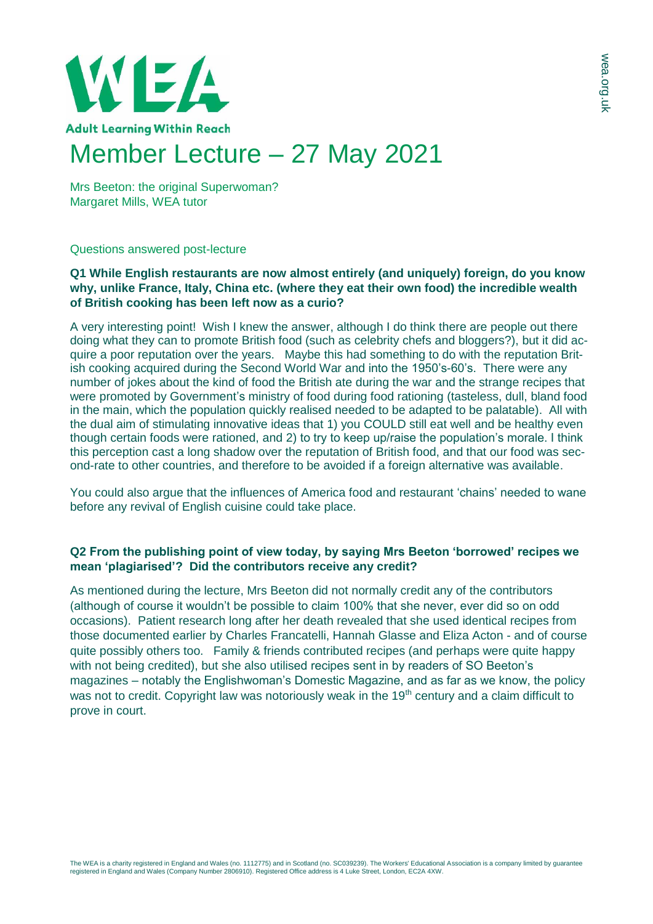

Mrs Beeton: the original Superwoman? Margaret Mills, WEA tutor

## Questions answered post-lecture

## **Q1 While English restaurants are now almost entirely (and uniquely) foreign, do you know why, unlike France, Italy, China etc. (where they eat their own food) the incredible wealth of British cooking has been left now as a curio?**

A very interesting point! Wish I knew the answer, although I do think there are people out there doing what they can to promote British food (such as celebrity chefs and bloggers?), but it did acquire a poor reputation over the years. Maybe this had something to do with the reputation British cooking acquired during the Second World War and into the 1950's-60's. There were any number of jokes about the kind of food the British ate during the war and the strange recipes that were promoted by Government's ministry of food during food rationing (tasteless, dull, bland food in the main, which the population quickly realised needed to be adapted to be palatable). All with the dual aim of stimulating innovative ideas that 1) you COULD still eat well and be healthy even though certain foods were rationed, and 2) to try to keep up/raise the population's morale. I think this perception cast a long shadow over the reputation of British food, and that our food was second-rate to other countries, and therefore to be avoided if a foreign alternative was available.

You could also argue that the influences of America food and restaurant 'chains' needed to wane before any revival of English cuisine could take place.

## **Q2 From the publishing point of view today, by saying Mrs Beeton 'borrowed' recipes we mean 'plagiarised'? Did the contributors receive any credit?**

As mentioned during the lecture, Mrs Beeton did not normally credit any of the contributors (although of course it wouldn't be possible to claim 100% that she never, ever did so on odd occasions). Patient research long after her death revealed that she used identical recipes from those documented earlier by Charles Francatelli, Hannah Glasse and Eliza Acton - and of course quite possibly others too. Family & friends contributed recipes (and perhaps were quite happy with not being credited), but she also utilised recipes sent in by readers of SO Beeton's magazines – notably the Englishwoman's Domestic Magazine, and as far as we know, the policy was not to credit. Copyright law was notoriously weak in the 19<sup>th</sup> century and a claim difficult to prove in court.